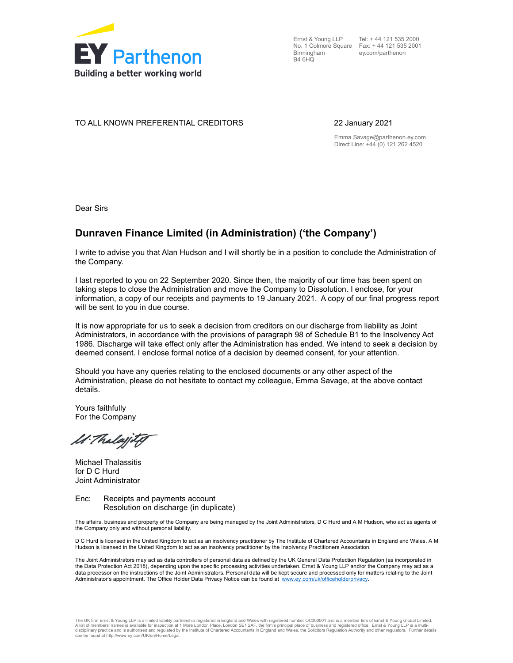

Birmingham B4 6HQ

Ernst & Young LLP Tel: + 44 121 535 2000 No. 1 Colmore Square Fax: + 44 121 535 2001 ey.com/parthenon

### TO ALL KNOWN PREFERENTIAL CREDITORS 22 January 2021

Emma.Savage@parthenon.ey.com Direct Line: +44 (0) 121 262 4520

Dear Sirs

## Dunraven Finance Limited (in Administration) ('the Company')

I write to advise you that Alan Hudson and I will shortly be in a position to conclude the Administration of the Company.

I last reported to you on 22 September 2020. Since then, the majority of our time has been spent on taking steps to close the Administration and move the Company to Dissolution. I enclose, for your information, a copy of our receipts and payments to 19 January 2021. A copy of our final progress report will be sent to you in due course.

It is now appropriate for us to seek a decision from creditors on our discharge from liability as Joint Administrators, in accordance with the provisions of paragraph 98 of Schedule B1 to the Insolvency Act 1986. Discharge will take effect only after the Administration has ended. We intend to seek a decision by deemed consent. I enclose formal notice of a decision by deemed consent, for your attention.

Should you have any queries relating to the enclosed documents or any other aspect of the Administration, please do not hesitate to contact my colleague, Emma Savage, at the above contact details.

Yours faithfully For the Company

M. Thalajity

Michael Thalassitis for D C Hurd Joint Administrator

Enc: Receipts and payments account Resolution on discharge (in duplicate)

The affairs, business and property of the Company are being managed by the Joint Administrators, D C Hurd and A M Hudson, who act as agents of the Company only and without personal liability.

D C Hurd is licensed in the United Kingdom to act as an insolvency practitioner by The Institute of Chartered Accountants in England and Wales. A M Hudson is licensed in the United Kingdom to act as an insolvency practitioner by the Insolvency Practitioners Association.

The Joint Administrators may act as data controllers of personal data as defined by the UK General Data Protection Regulation (as incorporated in the Data Protection Act 2018), depending upon the specific processing activities undertaken. Ernst & Young LLP and/or the Company may act as a data processor on the instructions of the Joint Administrators. Personal data will be kept secure and processed only for matters relating to the Joint Administrator's appointment. The Office Holder Data Privacy Notice can be found at www.ey.com/uk/officeholderprivacy.

The UK firm Ernst & Young LLP is a limited liability partnership registered in England and Wales with registered number OC300001 and is a member firm of Ernst & Young Global Limited.<br>A list of members' names is available f disciplinary practice and is authorised and regulated by the Institute of Chartered Accountants in England and Wales, the Solicitors Regulation Authority and other regulators. Further details can be found at http://www.ey.com/UK/en/Home/Legal.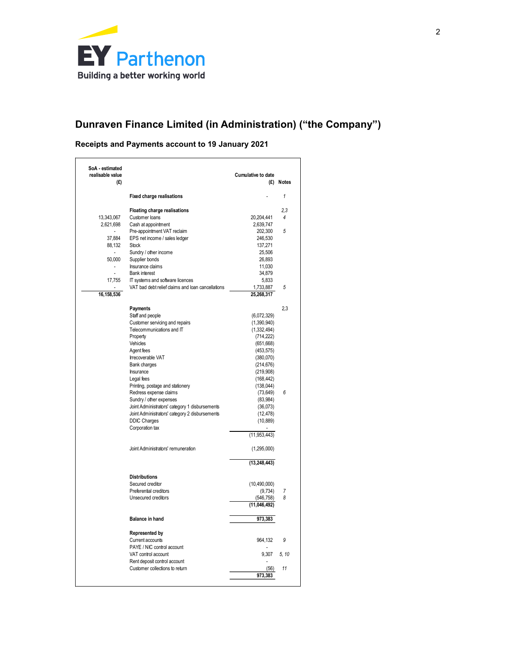

# Dunraven Finance Limited (in Administration) ("the Company")

## Receipts and Payments account to 19 January 2021

|                                    | <b>EY</b> Parthenon                                                       |                              |                |
|------------------------------------|---------------------------------------------------------------------------|------------------------------|----------------|
|                                    |                                                                           |                              |                |
|                                    | Building a better working world                                           |                              |                |
|                                    |                                                                           |                              |                |
|                                    |                                                                           |                              |                |
|                                    |                                                                           |                              |                |
|                                    | Dunraven Finance Limited (in Administration) ("the Company")              |                              |                |
|                                    |                                                                           |                              |                |
|                                    | Receipts and Payments account to 19 January 2021                          |                              |                |
| SoA - estimated                    |                                                                           |                              |                |
| realisable value                   |                                                                           | <b>Cumulative to date</b>    |                |
| (£)                                |                                                                           | (£)                          | Notes          |
|                                    | <b>Fixed charge realisations</b>                                          |                              | $\mathbf{1}$   |
|                                    | Floating charge realisations                                              |                              | 2,3            |
| 13,343,067<br>2,621,698            | Customer loans<br>Cash at appointment                                     | 20,204,441<br>2,639,747      | $\overline{4}$ |
| $\overline{\phantom{a}}$<br>37,884 | Pre-appointment VAT reclaim<br>EPS net income / sales ledger              | 202,300<br>246,530           | 5              |
| 88,132                             | Stock                                                                     | 137,271                      |                |
| $\overline{\phantom{a}}$<br>50,000 | Sundry / other income<br>Supplier bonds                                   | 25,506<br>26,893             |                |
| $\overline{\phantom{a}}$<br>$\sim$ | Insurance claims<br><b>Bank interest</b>                                  | 11,030<br>34,879             |                |
| 17,755                             | IT systems and software licences                                          | 5,833                        |                |
| 16,158,536                         | VAT bad debt relief claims and loan cancellations                         | 1,733,887<br>25,268,317      | 5              |
|                                    |                                                                           |                              |                |
|                                    | Payments<br>Staff and people                                              | (6,072,329)                  | 2,3            |
|                                    | Customer servicing and repairs<br>Telecommunications and IT               | (1,390,940)<br>(1, 332, 494) |                |
|                                    | Property                                                                  | (714, 222)                   |                |
|                                    | Vehicles<br>Agent fees                                                    | (651, 668)<br>(453, 575)     |                |
|                                    | Irrecoverable VAT                                                         | (380,070)                    |                |
|                                    | Bank charges<br>Insurance                                                 | (214, 676)<br>(219,908)      |                |
|                                    | Legal fees<br>Printing, postage and stationery                            | (168, 442)<br>(138, 044)     |                |
|                                    | Redress expense claims                                                    | (73, 649)                    | $\epsilon$     |
|                                    | Sundry / other expenses<br>Joint Administrators' category 1 disbursements | (83,984)<br>(36, 073)        |                |
|                                    | Joint Administrators' category 2 disbursements<br><b>DDIC Charges</b>     | (12, 478)<br>(10, 889)       |                |
|                                    | Corporation tax                                                           |                              |                |
|                                    |                                                                           | (11, 953, 443)               |                |
|                                    | Joint Administrators' remuneration                                        | (1,295,000)                  |                |
|                                    |                                                                           | (13, 248, 443)               |                |
|                                    | <b>Distributions</b>                                                      |                              |                |
|                                    | Secured creditor<br>Preferential creditors                                | (10, 490, 000)<br>(9, 734)   | $\overline{7}$ |
|                                    | Unsecured creditors                                                       | (546, 758)<br>(11,046,492)   | 8              |
|                                    |                                                                           |                              |                |
|                                    | Balance in hand                                                           | 973,383                      |                |
|                                    | <b>Represented by</b><br>Current accounts                                 | 964,132                      | 9              |
|                                    | PAYE / NIC control account                                                |                              |                |
|                                    | VAT control account<br>Rent deposit control account                       | 9,307                        | 5, 10          |
|                                    | Customer collections to return                                            | (56)                         | 11             |
|                                    |                                                                           | 973,383                      |                |